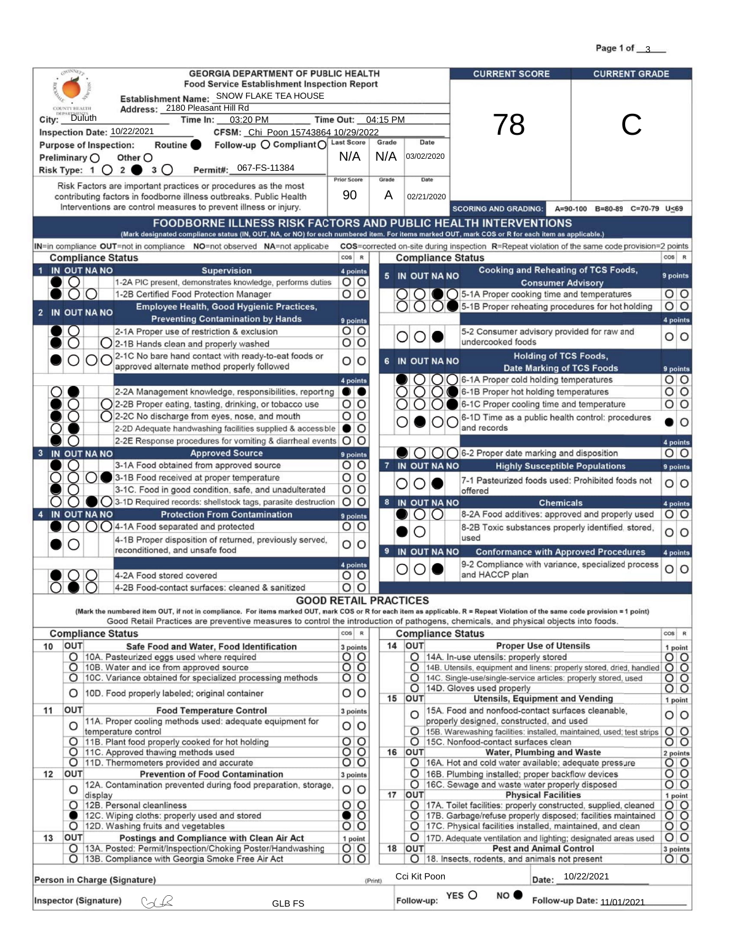Page 1 of  $\frac{3}{3}$ 

| <b>GEORGIA DEPARTMENT OF PUBLIC HEALTH</b>                                                                                                                                                                                 |                        |              | <b>CURRENT SCORE</b>     | <b>CURRENT GRADE</b>                                 |                                               |           |
|----------------------------------------------------------------------------------------------------------------------------------------------------------------------------------------------------------------------------|------------------------|--------------|--------------------------|------------------------------------------------------|-----------------------------------------------|-----------|
| <b>Food Service Establishment Inspection Report</b>                                                                                                                                                                        |                        |              |                          |                                                      |                                               |           |
| Establishment Name: SNOW FLAKE TEA HOUSE                                                                                                                                                                                   |                        |              |                          |                                                      |                                               |           |
| Address: 2180 Pleasant Hill Rd                                                                                                                                                                                             |                        |              |                          |                                                      |                                               |           |
| City: Duluth<br>Time In:<br>03:20 PM                                                                                                                                                                                       | Time Out: 04:15 PM     |              |                          | 78                                                   |                                               |           |
| <b>Inspection Date: 10/22/2021</b><br>CFSM: Chi Poon 15743864 10/29/2022                                                                                                                                                   |                        |              |                          |                                                      |                                               |           |
| Follow-up O Compliant O Last Score<br>Routine <b>O</b><br><b>Purpose of Inspection:</b>                                                                                                                                    |                        | Grade        | Date                     |                                                      |                                               |           |
| Preliminary $\bigcirc$<br>Other O                                                                                                                                                                                          | N/A                    | N/A          | 03/02/2020               |                                                      |                                               |           |
| 067-FS-11384<br>Risk Type: $1 \bigcirc 2$<br>Permit#:                                                                                                                                                                      |                        |              |                          |                                                      |                                               |           |
| Risk Factors are important practices or procedures as the most                                                                                                                                                             | <b>Prior Score</b>     | Grade        | Date                     |                                                      |                                               |           |
| contributing factors in foodborne illness outbreaks. Public Health                                                                                                                                                         | 90                     | $\mathsf{A}$ | 02/21/2020               |                                                      |                                               |           |
| Interventions are control measures to prevent illness or injury.                                                                                                                                                           |                        |              |                          | <b>SCORING AND GRADING:</b>                          | $C = 70-79$ U<69<br>A=90-100<br>$B = 80 - 89$ |           |
|                                                                                                                                                                                                                            |                        |              |                          |                                                      |                                               |           |
| <b>FOODBORNE ILLNESS RISK FACTORS AND PUBLIC HEALTH INTERVENTIONS</b><br>(Mark designated compliance status (IN, OUT, NA, or NO) for each numbered item. For items marked OUT, mark COS or R for each item as applicable.) |                        |              |                          |                                                      |                                               |           |
| $IN = in$ compliance $OUT = not$ in compliance $NO = not$ observed $NA = not$ applicabe<br><b>COS</b> =corrected on-site during inspection R=Repeat violation of the same code provision=2 points                          |                        |              |                          |                                                      |                                               |           |
| <b>Compliance Status</b>                                                                                                                                                                                                   | $\cos$<br>$\mathbb{R}$ |              | <b>Compliance Status</b> |                                                      |                                               | $COS$ $R$ |
| IN OUT NA NO<br><b>Supervision</b>                                                                                                                                                                                         | 4 points               |              |                          | <b>Cooking and Reheating of TCS Foods,</b>           |                                               |           |
| 1-2A PIC present, demonstrates knowledge, performs duties                                                                                                                                                                  | $O$ $O$                |              | 5 IN OUT NA NO           | <b>Consumer Advisory</b>                             |                                               | 9 points  |
| 1-2B Certified Food Protection Manager                                                                                                                                                                                     | $O$ $O$                |              |                          | $\bigcirc$ 5-1A Proper cooking time and temperatures |                                               | $O$ $O$   |
| <b>Employee Health, Good Hygienic Practices,</b>                                                                                                                                                                           |                        |              |                          | 5-1B Proper reheating procedures for hot holding     |                                               | $O$ $O$   |
| 2 IN OUT NA NO<br><b>Preventing Contamination by Hands</b>                                                                                                                                                                 | 9 points               |              |                          |                                                      |                                               | 4 points  |
| 2-1A Proper use of restriction & exclusion                                                                                                                                                                                 | O<br>$\circ$           |              |                          | 5-2 Consumer advisory provided for raw and           |                                               |           |
| Q 2-1B Hands clean and properly washed                                                                                                                                                                                     | $O$ $O$                |              | $O$ $O$                  | undercooked foods                                    |                                               | $O$ $O$   |
| ○ 2-1C No bare hand contact with ready-to-eat foods or<br>$\bigcirc$ or                                                                                                                                                    | O<br>$\circ$           | 6            | IN OUT NA NO             | <b>Holding of TCS Foods,</b>                         |                                               |           |
| approved alternate method properly followed                                                                                                                                                                                |                        |              |                          | <b>Date Marking of TCS Foods</b>                     |                                               | 9 points  |
|                                                                                                                                                                                                                            | 4 points               |              |                          | 6-1A Proper cold holding temperatures                |                                               | $O$ $O$   |
|                                                                                                                                                                                                                            |                        |              |                          |                                                      |                                               |           |



|    |     |                                                                           | $-$ bearing |         |    |              |                                               |                                                                 |                               |
|----|-----|---------------------------------------------------------------------------|-------------|---------|----|--------------|-----------------------------------------------|-----------------------------------------------------------------|-------------------------------|
|    | O   | 12A. Contamination prevented during food preparation, storage,            | $O$ $O$     |         |    | O            |                                               | 16C. Sewage and waste water properly disposed                   | $\overline{O}$ $\overline{O}$ |
|    |     | display                                                                   |             |         |    | <b>OUT</b>   |                                               | <b>Physical Facilities</b>                                      | point                         |
|    |     | 12B. Personal cleanliness                                                 | $\circ$     |         |    |              |                                               | 17A. Toilet facilities: properly constructed, supplied, cleaned | $\circ$ $\circ$               |
|    |     | 12C. Wiping cloths: properly used and stored                              | $\bullet$ O |         |    |              |                                               | 17B. Garbage/refuse properly disposed; facilities maintained    | $\circ$ $\circ$               |
|    |     | 12D. Washing fruits and vegetables                                        | $O$ $O$     |         |    |              |                                               | 17C. Physical facilities installed, maintained, and clean       | $O$ $O$                       |
| 13 | OUT | <b>Postings and Compliance with Clean Air Act</b>                         | 1 point     |         |    | O            |                                               | 17D. Adequate ventilation and lighting; designated areas used   | 0 O                           |
|    |     | 13A. Posted: Permit/Inspection/Choking Poster/Handwashing                 | $O$ O       |         | 18 | <b>OUT</b>   |                                               | <b>Pest and Animal Control</b>                                  | 3 points                      |
|    |     | O  13B. Compliance with Georgia Smoke Free Air Act                        | $O$ $O$     |         |    | O            | 18. Insects, rodents, and animals not present |                                                                 | $O$ $O$                       |
|    |     | Person in Charge (Signature)                                              |             | (Print) |    | Cci Kit Poon |                                               | 10/22/2021<br>Date:                                             |                               |
|    |     | <b>Inspector (Signature)</b><br><b>GLB FS</b><br>$\overline{\rightarrow}$ |             |         |    | Follow-up:   | NO O<br>YES O                                 | Follow-up Date: 11/01/2021                                      |                               |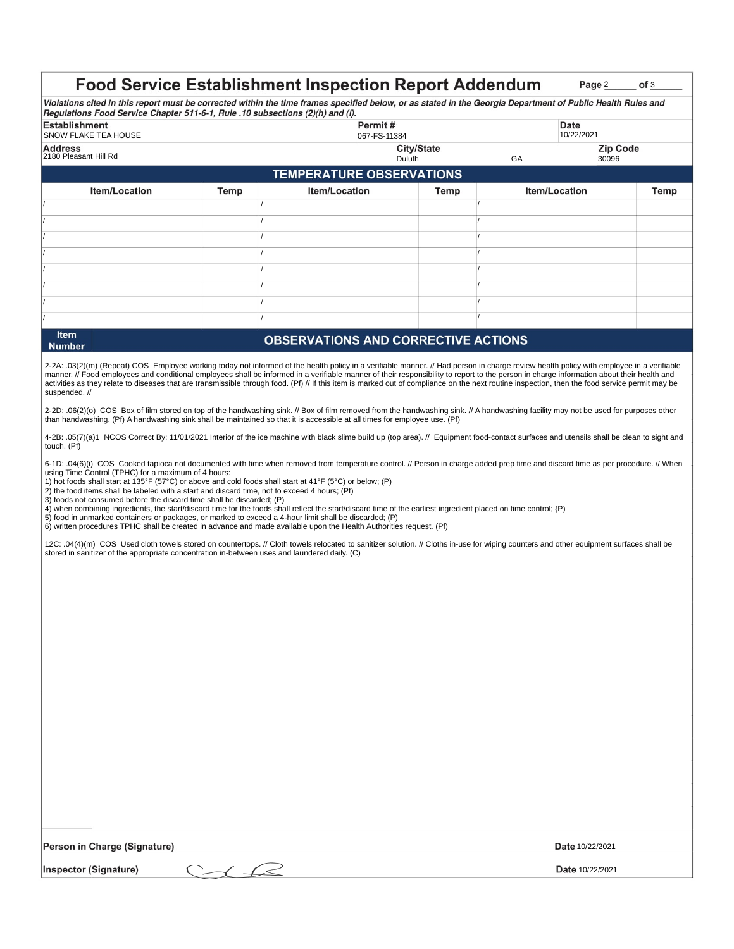2-2A: .03(2)(m) (Repeat) COS Employee working today not informed of the health policy in a verifiable manner. // Had person in charge review health policy with employee in a verifiable manner. // Food employees and conditional employees shall be informed in a verifiable manner of their responsibility to report to the person in charge information about their health and activities as they relate to diseases that are transmissible through food. (Pf) // If this item is marked out of compliance on the next routine inspection, then the food service permit may be

2-2D: .06(2)(o) COS Box of film stored on top of the handwashing sink. // Box of film removed from the handwashing sink. // A handwashing facility may not be used for purposes other than handwashing. (Pf) A handwashing sink shall be maintained so that it is accessible at all times for employee use. (Pf)

4-2B: .05(7)(a)1 NCOS Correct By: 11/01/2021 Interior of the ice machine with black slime build up (top area). // Equipment food-contact surfaces and utensils shall be clean to sight and touch. (Pf)

suspended. //

12C: .04(4)(m) COS Used cloth towels stored on countertops. // Cloth towels relocated to sanitizer solution. // Cloths in-use for wiping counters and other equipment surfaces shall be stored in sanitizer of the appropriate concentration in-between uses and laundered daily. (C)

6-1D: .04(6)(i) COS Cooked tapioca not documented with time when removed from temperature control. // Person in charge added prep time and discard time as per procedure. // When using Time Control (TPHC) for a maximum of 4 hours:

1) hot foods shall start at 135°F (57°C) or above and cold foods shall start at 41°F (5°C) or below; (P)

2) the food items shall be labeled with a start and discard time, not to exceed 4 hours; (Pf)

3) foods not consumed before the discard time shall be discarded; (P)

4) when combining ingredients, the start/discard time for the foods shall reflect the start/discard time of the earliest ingredient placed on time control; {P)

5) food in unmarked containers or packages, or marked to exceed a 4-hour limit shall be discarded; (P)

6) written procedures TPHC shall be created in advance and made available upon the Health Authorities request. (Pf)

|                                                                                                                                                                                                                                               |      | <b>Food Service Establishment Inspection Report Addendum</b> |              |                      | Page 2<br>of <sub>3</sub> |  |
|-----------------------------------------------------------------------------------------------------------------------------------------------------------------------------------------------------------------------------------------------|------|--------------------------------------------------------------|--------------|----------------------|---------------------------|--|
| Violations cited in this report must be corrected within the time frames specified below, or as stated in the Georgia Department of Public Health Rules and<br>Regulations Food Service Chapter 511-6-1, Rule .10 subsections (2)(h) and (i). |      |                                                              |              |                      |                           |  |
| <b>Establishment</b><br><b>SNOW FLAKE TEA HOUSE</b>                                                                                                                                                                                           |      |                                                              | 067-FS-11384 | Date                 | 10/22/2021                |  |
| <b>Address</b><br>2180 Pleasant Hill Rd                                                                                                                                                                                                       |      | <b>City/State</b><br>Duluth                                  |              | <b>GA</b>            | <b>Zip Code</b><br>30096  |  |
| <b>TEMPERATURE OBSERVATIONS</b>                                                                                                                                                                                                               |      |                                                              |              |                      |                           |  |
| <b>Item/Location</b>                                                                                                                                                                                                                          | Temp | <b>Item/Location</b>                                         | Temp         | <b>Item/Location</b> | Temp                      |  |
|                                                                                                                                                                                                                                               |      |                                                              |              |                      |                           |  |
|                                                                                                                                                                                                                                               |      |                                                              |              |                      |                           |  |
|                                                                                                                                                                                                                                               |      |                                                              |              |                      |                           |  |
|                                                                                                                                                                                                                                               |      |                                                              |              |                      |                           |  |
|                                                                                                                                                                                                                                               |      |                                                              |              |                      |                           |  |
|                                                                                                                                                                                                                                               |      |                                                              |              |                      |                           |  |
|                                                                                                                                                                                                                                               |      |                                                              |              |                      |                           |  |
|                                                                                                                                                                                                                                               |      |                                                              |              |                      |                           |  |
| Item                                                                                                                                                                                                                                          |      | <b>ODCEDVATIONS AND CODDECTIVE ACTIONS</b>                   |              |                      |                           |  |

## **Number**

## **OBSERVATIONS AND CORRECTIVE ACTIONS**

| <b>Person in Charge (Signature)</b> | <b>Date</b> 10/22/2021 |
|-------------------------------------|------------------------|
| <b>Inspector (Signature)</b>        | <b>Date</b> 10/22/2021 |